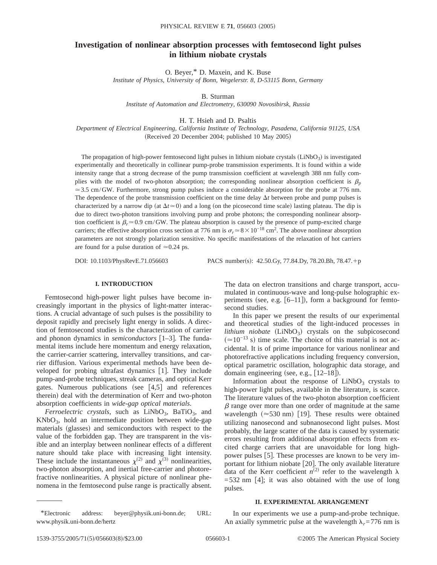# **Investigation of nonlinear absorption processes with femtosecond light pulses in lithium niobate crystals**

O. Beyer,\* D. Maxein, and K. Buse

*Institute of Physics, University of Bonn, Wegelerstr. 8, D-53115 Bonn, Germany*

B. Sturman

*Institute of Automation and Electrometry, 630090 Novosibirsk, Russia*

H. T. Hsieh and D. Psaltis

*Department of Electrical Engineering, California Institute of Technology, Pasadena, California 91125, USA*  $(Received 20 December 2004; published 10 May 2005)$ 

The propagation of high-power femtosecond light pulses in lithium niobate crystals  $(LiNbO<sub>3</sub>)$  is investigated experimentally and theoretically in collinear pump-probe transmission experiments. It is found within a wide intensity range that a strong decrease of the pump transmission coefficient at wavelength 388 nm fully complies with the model of two-photon absorption; the corresponding nonlinear absorption coefficient is  $\beta_p$  $\approx$  3.5 cm/GW. Furthermore, strong pump pulses induce a considerable absorption for the probe at 776 nm. The dependence of the probe transmission coefficient on the time delay  $\Delta t$  between probe and pump pulses is characterized by a narrow dip (at  $\Delta t \approx 0$ ) and a long (on the picosecond time scale) lasting plateau. The dip is due to direct two-photon transitions involving pump and probe photons; the corresponding nonlinear absorption coefficient is  $\beta_r \approx 0.9 \text{ cm/GW}$ . The plateau absorption is caused by the presence of pump-excited charge carriers; the effective absorption cross section at 776 nm is  $\sigma_r \approx 8 \times 10^{-18}$  cm<sup>2</sup>. The above nonlinear absorption parameters are not strongly polarization sensitive. No specific manifestations of the relaxation of hot carriers are found for a pulse duration of  $\simeq$  0.24 ps.

DOI: 10.1103/PhysRevE.71.056603 PACS number(s): 42.50.Gy, 77.84.Dy, 78.20.Bh, 78.47.+p

### **I. INTRODUCTION**

Femtosecond high-power light pulses have become increasingly important in the physics of light-matter interactions. A crucial advantage of such pulses is the possibility to deposit rapidly and precisely light energy in solids. A direction of femtosecond studies is the characterization of carrier and phonon dynamics in *semiconductors* [1–3]. The fundamental items include here momentum and energy relaxation, the carrier-carrier scattering, intervalley transitions, and carrier diffusion. Various experimental methods have been developed for probing ultrafast dynamics  $|1|$ . They include pump-and-probe techniques, streak cameras, and optical Kerr gates. Numerous publications (see  $[4,5]$  and references therein) deal with the determination of Kerr and two-photon absorption coefficients in *wide-gap optical materials*.

*Ferroelectric crystals*, such as LiNbO<sub>3</sub>, BaTiO<sub>3</sub>, and KNbO3, hold an intermediate position between wide-gap materials (glasses) and semiconductors with respect to the value of the forbidden gap. They are transparent in the visible and an interplay between nonlinear effects of a different nature should take place with increasing light intensity. These include the instantaneous  $\chi^{(2)}$  and  $\bar{\chi}^{(3)}$  nonlinearities, two-photon absorption, and inertial free-carrier and photorefractive nonlinearities. A physical picture of nonlinear phenomena in the femtosecond pulse range is practically absent. The data on electron transitions and charge transport, accumulated in continuous-wave and long-pulse holographic experiments (see, e.g.  $[6–11]$ ), form a background for femtosecond studies.

In this paper we present the results of our experimental and theoretical studies of the light-induced processes in *lithium niobate*  $(LiNbO<sub>3</sub>)$  crystals on the subpicosecond  $($  ≈ 10<sup>-13</sup> s) time scale. The choice of this material is not accidental. It is of prime importance for various nonlinear and photorefractive applications including frequency conversion, optical parametric oscillation, holographic data storage, and domain engineering (see, e.g.,  $[12-18]$ ).

Information about the response of  $LiNbO<sub>3</sub>$  crystals to high-power light pulses, available in the literature, is scarce. The literature values of the two-photon absorption coefficient  $\beta$  range over more than one order of magnitude at the same wavelength  $(\approx 530 \text{ nm})$  [19]. These results were obtained utilizing nanosecond and subnanosecond light pulses. Most probably, the large scatter of the data is caused by systematic errors resulting from additional absorption effects from excited charge carriers that are unavoidable for long highpower pulses [5]. These processes are known to be very important for lithium niobate [20]. The only available literature data of the Kerr coefficient  $n^{(2)}$  refer to the wavelength  $\lambda$  $=532$  nm [4]; it was also obtained with the use of long pulses.

#### **II. EXPERIMENTAL ARRANGEMENT**

In our experiments we use a pump-and-probe technique. An axially symmetric pulse at the wavelength  $\lambda_r$ =776 nm is

<sup>\*</sup>Electronic address: beyer@physik.uni-bonn.de; URL: www.physik.uni-bonn.de/hertz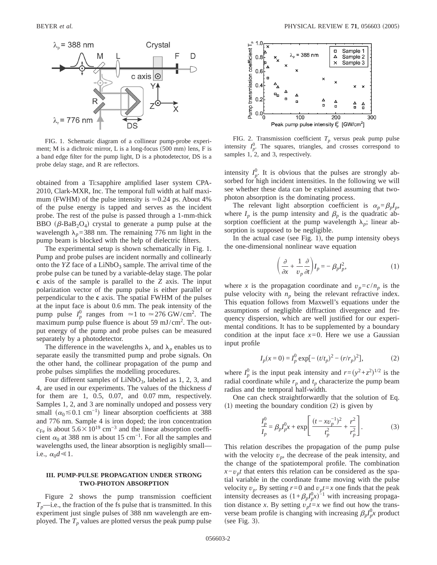

FIG. 1. Schematic diagram of a collinear pump-probe experiment; M is a dichroic mirror, L is a long-focus  $(500 \text{ mm})$  lens, F is a band edge filter for the pump light, D is a photodetector, DS is a probe delay stage, and R are reflectors.

obtained from a Ti:sapphire amplified laser system CPA-2010, Clark-MXR, Inc. The temporal full width at half maximum (FWHM) of the pulse intensity is  $\approx 0.24$  ps. About 4% of the pulse energy is tapped and serves as the incident probe. The rest of the pulse is passed through a 1-mm-thick BBO ( $\beta$ -BaB<sub>2</sub>O<sub>4</sub>) crystal to generate a pump pulse at the wavelength  $\lambda_p$ =388 nm. The remaining 776 nm light in the pump beam is blocked with the help of dielectric filters.

The experimental setup is shown schematically in Fig. 1. Pump and probe pulses are incident normally and collinearly onto the *YZ* face of a LiNbO<sub>3</sub> sample. The arrival time of the probe pulse can be tuned by a variable-delay stage. The polar **c** axis of the sample is parallel to the *Z* axis. The input polarization vector of the pump pulse is either parallel or perpendicular to the **c** axis. The spatial FWHM of the pulses at the input face is about 0.6 mm. The peak intensity of the pump pulse  $I_p^0$  ranges from  $\simeq$  1 to  $\simeq$  276 GW/cm<sup>2</sup>. The maximum pump pulse fluence is about 59 mJ/cm<sup>2</sup>. The output energy of the pump and probe pulses can be measured separately by a photodetector.

The difference in the wavelengths  $\lambda_r$  and  $\lambda_p$  enables us to separate easily the transmitted pump and probe signals. On the other hand, the collinear propagation of the pump and probe pulses simplifies the modelling procedures.

Four different samples of  $LiNbO<sub>3</sub>$ , labeled as 1, 2, 3, and 4, are used in our experiments. The values of the thickness *d* for them are 1, 0.5, 0.07, and 0.07 mm, respectively. Samples 1, 2, and 3 are nominally undoped and possess very small  $(\alpha_0 \le 0.1 \text{ cm}^{-1})$  linear absorption coefficients at 388 and 776 nm. Sample 4 is iron doped; the iron concentration  $c_{\text{Fe}}$  is about 5.6×10<sup>19</sup> cm<sup>-3</sup> and the linear absorption coefficient  $\alpha_0$  at 388 nm is about 15 cm<sup>-1</sup>. For all the samples and wavelengths used, the linear absorption is negligibly small i.e.,  $\alpha_0 d \ll 1$ .

## **III. PUMP-PULSE PROPAGATION UNDER STRONG TWO-PHOTON ABSORPTION**

Figure 2 shows the pump transmission coefficient  $T_p$ —i.e., the fraction of the fs pulse that is transmitted. In this experiment just single pulses of 388 nm wavelength are employed. The  $T_p$  values are plotted versus the peak pump pulse



FIG. 2. Transmission coefficient  $T_p$  versus peak pump pulse intensity  $I_p^0$ . The squares, triangles, and crosses correspond to samples 1, 2, and 3, respectively.

intensity  $I_p^0$ . It is obvious that the pulses are strongly absorbed for high incident intensities. In the following we will see whether these data can be explained assuming that twophoton absorption is the dominating process.

The relevant light absorption coefficient is  $\alpha_p = \beta_p I_p$ , where  $I_p$  is the pump intensity and  $\beta_p$  is the quadratic absorption coefficient at the pump wavelength  $\lambda_p$ ; linear absorption is supposed to be negligible.

In the actual case (see Fig. 1), the pump intensity obeys the one-dimensional nonlinear wave equation

$$
\left(\frac{\partial}{\partial x} + \frac{1}{v_p} \frac{\partial}{\partial t}\right) I_p = -\beta_p I_p^2,\tag{1}
$$

where *x* is the propagation coordinate and  $v_p = c/n_p$  is the pulse velocity with  $n_p$  being the relevant refractive index. This equation follows from Maxwell's equations under the assumptions of negligible diffraction divergence and frequency dispersion, which are well justified for our experimental conditions. It has to be supplemented by a boundary condition at the input face  $x=0$ . Here we use a Gaussian input profile

$$
I_p(x=0) = I_p^0 \exp[-(t/t_p)^2 - (r/r_p)^2],
$$
 (2)

where  $I_p^0$  is the input peak intensity and  $r = (y^2 + z^2)^{1/2}$  is the radial coordinate while  $r_p$  and  $t_p$  characterize the pump beam radius and the temporal half-width.

One can check straightforwardly that the solution of Eq.  $(1)$  meeting the boundary condition  $(2)$  is given by

$$
\frac{I_p^0}{I_p} = \beta_p I_p^0 x + \exp\left[\frac{(t - x v_p^{-1})^2}{t_p^2} + \frac{r^2}{r_p^2}\right].
$$
 (3)

This relation describes the propagation of the pump pulse with the velocity  $v_p$ , the decrease of the peak intensity, and the change of the spatiotemporal profile. The combination  $x - v_p t$  that enters this relation can be considered as the spatial variable in the coordinate frame moving with the pulse velocity  $v_p$ . By setting  $r=0$  and  $v_p t=x$  one finds that the peak intensity decreases as  $(1+\beta_p I_p^0 x)^{-1}$  with increasing propagation distance *x*. By setting  $v_p t = x$  we find out how the transverse beam profile is changing with increasing  $\beta_p I_p^0 x$  product  $(see Fig. 3).$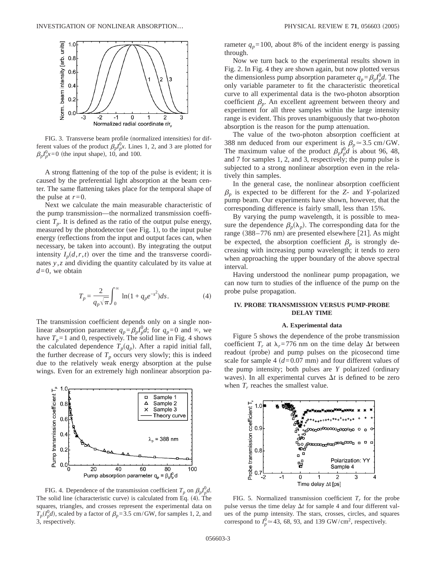

FIG. 3. Transverse beam profile (normalized intensities) for different values of the product  $\beta_p I_p^0 x$ . Lines 1, 2, and 3 are plotted for  $\beta_p I_p^0 x=0$  (the input shape), 10, and 100.

A strong flattening of the top of the pulse is evident; it is caused by the preferential light absorption at the beam center. The same flattening takes place for the temporal shape of the pulse at  $r=0$ .

Next we calculate the main measurable characteristic of the pump transmission—the normalized transmission coefficient  $T_p$ . It is defined as the ratio of the output pulse energy, measured by the photodetector (see Fig. 1), to the input pulse energy (reflections from the input and output faces can, when necessary, be taken into account). By integrating the output intensity  $I_p(d, r, t)$  over the time and the transverse coordinates *y* ,*z* and dividing the quantity calculated by its value at *d*=0, we obtain

$$
T_p = \frac{2}{q_p \sqrt{\pi}} \int_0^\infty \ln(1 + q_p e^{-s^2}) ds.
$$
 (4)

The transmission coefficient depends only on a single nonlinear absorption parameter  $q_p = \beta_p I_p^0 d$ ; for  $q_p = 0$  and  $\infty$ , we have  $T_p = 1$  and 0, respectively. The solid line in Fig. 4 shows the calculated dependence  $T_p(q_p)$ . After a rapid initial fall, the further decrease of  $T_p$  occurs very slowly; this is indeed due to the relatively weak energy absorption at the pulse wings. Even for an extremely high nonlinear absorption pa-



FIG. 4. Dependence of the transmission coefficient  $T_p$  on  $\beta_p I_p^0 d$ . The solid line (characteristic curve) is calculated from Eq.  $(4)$ . The squares, triangles, and crosses represent the experimental data on  $T_p(l_p^0d)$ , scaled by a factor of  $\beta_p$ =3.5 cm/GW, for samples 1, 2, and 3, respectively.

rameter  $q_p = 100$ , about 8% of the incident energy is passing through.

Now we turn back to the experimental results shown in Fig. 2. In Fig. 4 they are shown again, but now plotted versus the dimensionless pump absorption parameter  $q_p = \beta_p I_p^0 d$ . The only variable parameter to fit the characteristic theoretical curve to all experimental data is the two-photon absorption coefficient  $\beta_p$ . An excellent agreement between theory and experiment for all three samples within the large intensity range is evident. This proves unambiguously that two-photon absorption is the reason for the pump attenuation.

The value of the two-photon absorption coefficient at 388 nm deduced from our experiment is  $\beta_p \approx 3.5$  cm/GW. The maximum value of the product  $\beta_p I_p^0 d$  is about 96, 48, and 7 for samples 1, 2, and 3, respectively; the pump pulse is subjected to a strong nonlinear absorption even in the relatively thin samples.

In the general case, the nonlinear absorption coefficient  $\beta_p$  is expected to be different for the *Z*- and *Y*-polarized pump beam. Our experiments have shown, however, that the corresponding difference is fairly small, less than 15%.

By varying the pump wavelength, it is possible to measure the dependence  $\beta_p(\lambda_p)$ . The corresponding data for the range  $(388-776 \text{ nm})$  are presented elsewhere [21]. As might be expected, the absorption coefficient  $\beta_p$  is strongly decreasing with increasing pump wavelength; it tends to zero when approaching the upper boundary of the above spectral interval.

Having understood the nonlinear pump propagation, we can now turn to studies of the influence of the pump on the probe pulse propagation.

# **IV. PROBE TRANSMISSION VERSUS PUMP-PROBE DELAY TIME**

#### **A. Experimental data**

Figure 5 shows the dependence of the probe transmission coefficient  $T_r$  at  $\lambda_r = 776$  nm on the time delay  $\Delta t$  between readout (probe) and pump pulses on the picosecond time scale for sample 4  $(d=0.07 \text{ mm})$  and four different values of the pump intensity; both pulses are  $Y$  polarized (ordinary waves). In all experimental curves  $\Delta t$  is defined to be zero when  $T_r$  reaches the smallest value.



FIG. 5. Normalized transmission coefficient  $T_r$  for the probe pulse versus the time delay  $\Delta t$  for sample 4 and four different values of the pump intensity. The stars, crosses, circles, and squares correspond to  $I_p^0 \approx 43$ , 68, 93, and 139 GW/cm<sup>2</sup>, respectively.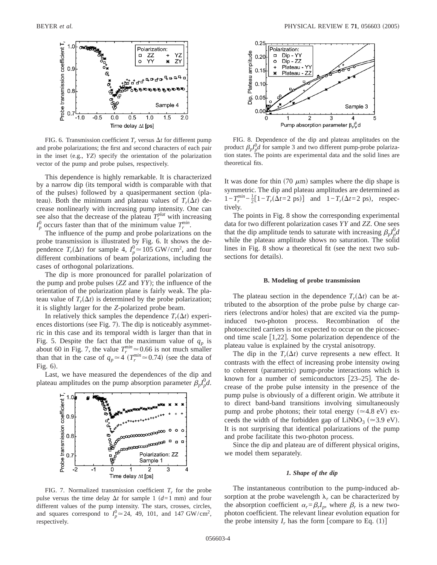

FIG. 6. Transmission coefficient  $T_r$  versus  $\Delta t$  for different pump and probe polarizations; the first and second characters of each pair in the inset (e.g., *YZ*) specify the orientation of the polarization vector of the pump and probe pulses, respectively.

This dependence is highly remarkable. It is characterized by a narrow dip (its temporal width is comparable with that of the pulses) followed by a quasipermanent section (plateau). Both the minimum and plateau values of  $T_r(\Delta t)$  decrease nonlinearly with increasing pump intensity. One can see also that the decrease of the plateau  $T_r^{plat}$  with increasing  $I_p^0$  occurs faster than that of the minimum value  $T_r^{min}$ .

The influence of the pump and probe polarizations on the probe transmission is illustrated by Fig. 6. It shows the dependence  $T_r(\Delta t)$  for sample 4,  $I_p^0 \approx 105$  GW/cm<sup>2</sup>, and four different combinations of beam polarizations, including the cases of orthogonal polarizations.

The dip is more pronounced for parallel polarization of the pump and probe pulses  $(ZZ$  and  $YY)$ ; the influence of the orientation of the polarization plane is fairly weak. The plateau value of  $T_r(\Delta t)$  is determined by the probe polarization; it is slightly larger for the *Z*-polarized probe beam.

In relatively thick samples the dependence  $T_r(\Delta t)$  experiences distortions (see Fig.  $7$ ). The dip is noticeably asymmetric in this case and its temporal width is larger than that in Fig. 5. Despite the fact that the maximum value of  $q_p$  is about 60 in Fig. 7, the value  $T_r^{min} \approx 0.66$  is not much smaller than that in the case of  $q_p \approx 4 \left( T_r^{\text{min}} \approx 0.74 \right)$  (see the data of Fig.  $6$ ).

Last, we have measured the dependences of the dip and plateau amplitudes on the pump absorption parameter  $\beta_p I_p^0 d$ .





FIG. 8. Dependence of the dip and plateau amplitudes on the product  $\beta_p I_p^0 d$  for sample 3 and two different pump-probe polarization states. The points are experimental data and the solid lines are theoretical fits.

It was done for thin  $(70 \mu m)$  samples where the dip shape is symmetric. The dip and plateau amplitudes are determined as  $1 - T_r^{min} - \frac{1}{2} [1 - T_r(\Delta t = 2 \text{ ps})]$  and  $1 - T_r(\Delta t = 2 \text{ ps})$ , respectively.

The points in Fig. 8 show the corresponding experimental data for two different polarization cases *YY* and *ZZ*. One sees that the dip amplitude tends to saturate with increasing  $\beta_p I_p^0 d$ while the plateau amplitude shows no saturation. The solid lines in Fig. 8 show a theoretical fit (see the next two subsections for details).

#### **B. Modeling of probe transmission**

The plateau section in the dependence  $T_r(\Delta t)$  can be attributed to the absorption of the probe pulse by charge carriers (electrons and/or holes) that are excited via the pumpinduced two-photon process. Recombination of the photoexcited carriers is not expected to occur on the picosecond time scale  $[1,22]$ . Some polarization dependence of the plateau value is explained by the crystal anisotropy.

The dip in the  $T_r(\Delta t)$  curve represents a new effect. It contrasts with the effect of increasing probe intensity owing to coherent (parametric) pump-probe interactions which is known for a number of semiconductors  $[23-25]$ . The decrease of the probe pulse intensity in the presence of the pump pulse is obviously of a different origin. We attribute it to direct band-band transitions involving simultaneously pump and probe photons; their total energy  $(\simeq 4.8 \text{ eV})$  exceeds the width of the forbidden gap of LiNbO<sub>3</sub> ( $\approx$ 3.9 eV). It is not surprising that identical polarizations of the pump and probe facilitate this two-photon process.

Since the dip and plateau are of different physical origins, we model them separately.

## *1. Shape of the dip*

FIG. 7. Normalized transmission coefficient  $T_r$  for the probe pulse versus the time delay  $\Delta t$  for sample 1 ( $d=1$  mm) and four different values of the pump intensity. The stars, crosses, circles, and squares correspond to  $I_p^0 \approx 24$ , 49, 101, and 147 GW/cm<sup>2</sup>, respectively.

The instantaneous contribution to the pump-induced absorption at the probe wavelength  $\lambda_r$  can be characterized by the absorption coefficient  $\alpha_r = \beta_r I_p$ , where  $\beta_r$  is a new twophoton coefficient. The relevant linear evolution equation for the probe intensity  $I_r$  has the form [compare to Eq. (1)]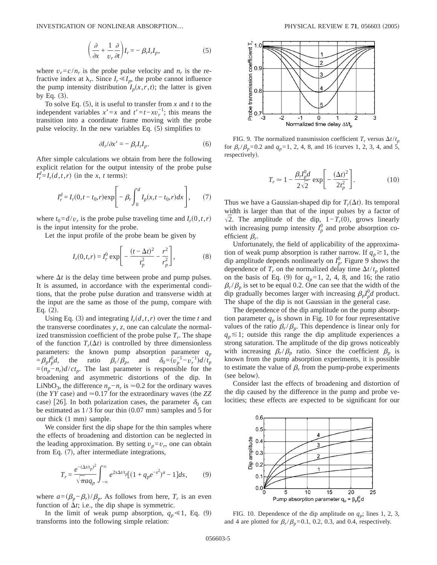$$
\left(\frac{\partial}{\partial x} + \frac{1}{v_r} \frac{\partial}{\partial t}\right) I_r = -\beta_r I_r I_p,\tag{5}
$$

where  $v_r = c/n_r$  is the probe pulse velocity and  $n_r$  is the refractive index at  $\lambda_r$ . Since  $I_r \ll I_p$ , the probe cannot influence the pump intensity distribution  $I_p(x, r, t)$ ; the latter is given by Eq.  $(3)$ .

To solve Eq.  $(5)$ , it is useful to transfer from *x* and *t* to the independent variables  $x' = x$  and  $t' = t - xv<sub>r</sub><sup>-1</sup>$ ; this means the transition into a coordinate frame moving with the probe pulse velocity. In the new variables Eq.  $(5)$  simplifies to

$$
\partial I_r / \partial x' = -\beta_r I_r I_p. \tag{6}
$$

After simple calculations we obtain from here the following explicit relation for the output intensity of the probe pulse  $I_r^d = I_r(d, t, r)$  (in the *x*, *t* terms):

$$
I_r^d = I_r(0, t - t_0, r) \exp\left[-\beta_r \int_0^d I_p(x, t - t_0, r) dx\right],\tag{7}
$$

where  $t_0 = d/v_r$  is the probe pulse traveling time and  $I_r(0,t,r)$ is the input intensity for the probe.

Let the input profile of the probe beam be given by

$$
I_r(0,t,r) = I_r^0 \exp\left[-\frac{(t-\Delta t)^2}{t_p^2} - \frac{r^2}{r_p^2}\right],
$$
 (8)

where  $\Delta t$  is the delay time between probe and pump pulses. It is assumed, in accordance with the experimental conditions, that the probe pulse duration and transverse width at the input are the same as those of the pump, compare with Eq.  $(2)$ .

Using Eq. (3) and integrating  $I_r(d,t,r)$  over the time *t* and the transverse coordinates *y*, *z*, one can calculate the normalized transmission coefficient of the probe pulse  $T_r$ . The shape of the function  $T_r(\Delta t)$  is controlled by three dimensionless parameters: the known pump absorption parameter *qp*  $\hat{\theta}_p = \beta_p I_p^0 d$ , the ratio  $\beta_r/\beta_p$ , and  $\delta_0 = \tilde{v}_p^{-1} - v_r^{-1} d / t_p$ =s*np*−*nr*d*d*/*ctp*. The last parameter is responsible for the broadening and asymmetric distortions of the dip. In LiNbO<sub>3</sub>, the difference  $n_p - n_r$  is  $\approx 0.2$  for the ordinary waves (the *YY* case) and  $\approx 0.17$  for the extraordinary waves (the *ZZ* case) [26]. In both polarization cases, the parameter  $\delta_0$  can be estimated as  $1/3$  for our thin  $(0.07 \text{ mm})$  samples and 5 for our thick (1 mm) sample.

We consider first the dip shape for the thin samples where the effects of broadening and distortion can be neglected in the leading approximation. By setting  $v_p = v_r$ , one can obtain from Eq.  $(7)$ , after intermediate integrations,

$$
T_r = \frac{e^{-(\Delta t/t_p)^2}}{\sqrt{\pi a q_p}} \int_{-\infty}^{\infty} e^{2s\Delta t/t_p} [(1+q_p e^{-s^2})^a - 1] ds, \qquad (9)
$$

where  $a = (\beta_p - \beta_r)/\beta_p$ . As follows from here,  $T_r$  is an even function of  $\Delta t$ ; i.e., the dip shape is symmetric.

In the limit of weak pump absorption,  $q_p \le 1$ , Eq. (9) transforms into the following simple relation:



FIG. 9. The normalized transmission coefficient  $T_r$  versus  $\Delta t/t_p$ for  $\beta_r/\beta_p=0.2$  and  $q_p=1, 2, 4, 8,$  and 16 (curves 1, 2, 3, 4, and 5, respectively).

$$
T_r \simeq 1 - \frac{\beta_r I_p^0 d}{2\sqrt{2}} \exp\left[-\frac{(\Delta t)^2}{2t_p^2}\right].
$$
 (10)

Thus we have a Gaussian-shaped dip for  $T_r(\Delta t)$ . Its temporal width is larger than that of the input pulses by a factor of  $\sqrt{2}$ . The amplitude of the dip, 1-*T<sub>r</sub>*(0), grows linearly with increasing pump intensity  $I_p^0$  and probe absorption coefficient  $\beta_r$ .

Unfortunately, the field of applicability of the approximation of weak pump absorption is rather narrow. If  $q_p \ge 1$ , the dip amplitude depends nonlinearly on  $I_p^0$ . Figure 9 shows the dependence of  $T_r$  on the normalized delay time  $\Delta t/t_p$  plotted on the basis of Eq. (9) for  $q_p=1, 2, 4, 8,$  and 16; the ratio  $\beta_r/\beta_p$  is set to be equal 0.2. One can see that the width of the dip gradually becomes larger with increasing  $\beta_p I_p^0 d$  product. The shape of the dip is not Gaussian in the general case.

The dependence of the dip amplitude on the pump absorption parameter  $q_p$  is shown in Fig. 10 for four representative values of the ratio  $\beta_r/\beta_p$ . This dependence is linear only for  $q_p \leq 1$ ; outside this range the dip amplitude experiences a strong saturation. The amplitude of the dip grows noticeably with increasing  $\beta_r/\beta_p$  ratio. Since the coefficient  $\beta_p$  is known from the pump absorption experiments, it is possible to estimate the value of  $\beta_r$  from the pump-probe experiments (see below).

Consider last the effects of broadening and distortion of the dip caused by the difference in the pump and probe velocities; these effects are expected to be significant for our



FIG. 10. Dependence of the dip amplitude on  $q_p$ ; lines 1, 2, 3, and 4 are plotted for  $\beta_r/\beta_p=0.1$ , 0.2, 0.3, and 0.4, respectively.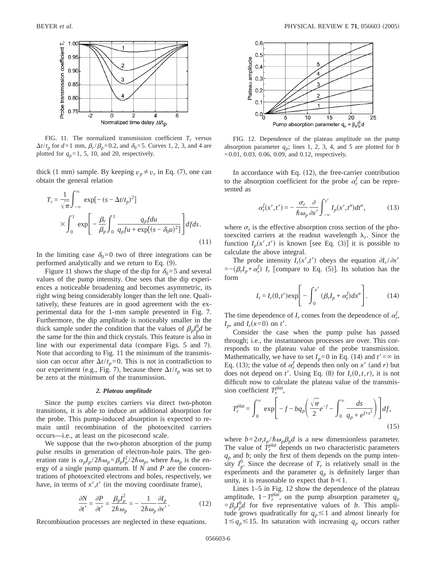

FIG. 11. The normalized transmission coefficient  $T_r$  versus  $\Delta t/t_p$  for  $d=1$  mm,  $\beta_r/\beta_p=0.2$ , and  $\delta_0=5$ . Curves 1, 2, 3, and 4 are plotted for  $q_p=1$ , 5, 10, and 20, respectively.

thick (1 mm) sample. By keeping  $v_p \neq v_r$  in Eq. (7), one can obtain the general relation

$$
T_r = \frac{1}{\sqrt{\pi}} \int_{-\infty}^{\infty} \exp[-(s - \Delta t/t_p)^2]
$$
  
 
$$
\times \int_{0}^{1} \exp\left[-\frac{\beta_r}{\beta_p} \int_{0}^{1} \frac{q_p f du}{q_p f u + \exp[(s - \delta_0 u)^2]}\right] df ds.
$$
 (11)

In the limiting case  $\delta_0=0$  two of three integrations can be performed analytically and we return to Eq.  $(9)$ .

Figure 11 shows the shape of the dip for  $\delta_0=5$  and several values of the pump intensity. One sees that the dip experiences a noticeable broadening and becomes asymmetric, its right wing being considerably longer than the left one. Qualitatively, these features are in good agreement with the experimental data for the 1-mm sample presented in Fig. 7. Furthermore, the dip amplitude is noticeably smaller in the thick sample under the condition that the values of  $\beta_p I_p^0 d$  be the same for the thin and thick crystals. This feature is also in line with our experimental data (compare Figs.  $5$  and  $7$ ). Note that according to Fig. 11 the minimum of the transmission can occur after  $\Delta t/t_p=0$ . This is not in contradiction to our experiment (e.g., Fig. 7), because there  $\Delta t/t_p$  was set to be zero at the minimum of the transmission.

#### *2. Plateau amplitude*

Since the pump excites carriers via direct two-photon transitions, it is able to induce an additional absorption for the probe. This pump-induced absorption is expected to remain until recombination of the photoexcited carriers occurs—i.e., at least on the picosecond scale.

We suppose that the two-photon absorption of the pump pulse results in generation of electron-hole pairs. The generation rate is  $\alpha_p I_p / 2\hbar \omega_p = \beta_p I_p^2 / 2\hbar \omega_p$ , where  $\hbar \omega_p$  is the energy of a single pump quantum. If *N* and *P* are the concentrations of photoexcited electrons and holes, respectively, we have, in terms of  $x^{\prime}, t^{\prime}$  (in the moving coordinate frame),

$$
\frac{\partial N}{\partial t'} = \frac{\partial P}{\partial t'} = \frac{\beta_p I_p^2}{2\hbar \omega_p} = -\frac{1}{2\hbar \omega_p} \frac{\partial I_p}{\partial x'}.
$$
(12)

Recombination processes are neglected in these equations.



FIG. 12. Dependence of the plateau amplitude on the pump absorption parameter  $q_p$ ; lines 1, 2, 3, 4, and 5 are plotted for *b* =0.01, 0.03, 0.06, 0.09, and 0.12, respectively.

In accordance with Eq.  $(12)$ , the free-carrier contribution to the absorption coefficient for the probe  $\alpha_r^f$  can be represented as

$$
\alpha_r^f(x',t') = -\frac{\sigma_r}{\hbar \omega_p} \frac{\partial}{\partial x'} \int_{-\infty}^{t'} I_p(x',t'')dt'',\tag{13}
$$

where  $\sigma_r$  is the effective absorption cross section of the photoexcited carriers at the readout wavelength  $\lambda_r$ . Since the function  $I_p(x', t')$  is known [see Eq. (3)] it is possible to calculate the above integral.

The probe intensity  $I_r(x', t')$  obeys the equation  $\partial I_r/\partial x'$  $=-\left(\beta_rI_p+\alpha_r^f\right)I_r$  [compare to Eq. (5)]. Its solution has the form

$$
I_r = I_r(0, t') \exp\bigg[ - \int_0^{x'} (\beta_r I_p + \alpha_r^f) dx'' \bigg].
$$
 (14)

The time dependence of  $I_r$  comes from the dependence of  $\alpha_r^f$ ,  $I_n$ , and  $I_r(x=0)$  on  $t'$ .

Consider the case when the pump pulse has passed through; i.e., the instantaneous processes are over. This corresponds to the plateau value of the probe transmission. Mathematically, we have to set  $I_p = 0$  in Eq. (14) and  $t' = \infty$  in Eq. (13); the value of  $\alpha_r^f$  depends then only on *x'* (and *r*) but does not depend on *t'*. Using Eq. (8) for  $I_r(0,t,r)$ , it is not difficult now to calculate the plateau value of the transmission coefficient  $T_r^{plat}$ ,

$$
T_r^{plat} = \int_0^\infty \exp\left[-f - bq_p\left(\frac{\sqrt{\pi}}{2}e^{-f} - \int_0^\infty \frac{ds}{q_p + e^{f+s^2}}\right)\right] df,
$$
\n(15)

where  $b=2\sigma_r t_p/\hbar\omega_p\beta_p d$  is a new dimensionless parameter. The value of  $T_r^{plat}$  depends on two characteristic parameters  $q_p$  and *b*; only the first of them depends on the pump intensity  $I_p^0$ . Since the decrease of  $T_r$  is relatively small in the experiments and the parameter  $q_p$  is definitely larger than unity, it is reasonable to expect that  $b \ll 1$ .

Lines 1–5 in Fig. 12 show the dependence of the plateau amplitude,  $1 - T_r^{plat}$ , on the pump absorption parameter  $q_p$  $=\beta_p I_p^0 d$  for five representative values of *b*. This amplitude grows quadratically for  $q_p \leq 1$  and almost linearly for  $1 \leq q_p \leq 15$ . Its saturation with increasing  $q_p$  occurs rather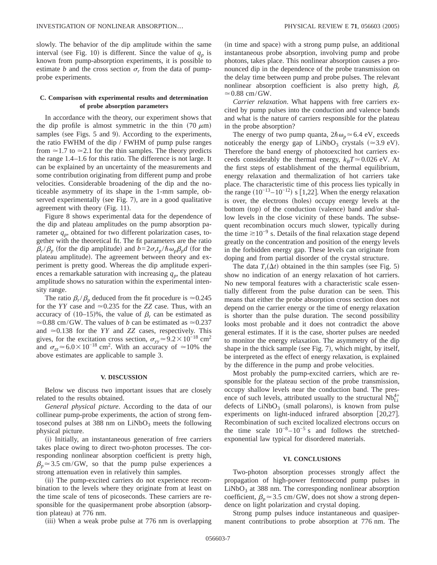slowly. The behavior of the dip amplitude within the same interval (see Fig. 10) is different. Since the value of  $q_p$  is known from pump-absorption experiments, it is possible to estimate *b* and the cross section  $\sigma_r$  from the data of pumpprobe experiments.

## **C. Comparison with experimental results and determination of probe absorption parameters**

In accordance with the theory, our experiment shows that the dip profile is almost symmetric in the thin  $(70 \mu m)$ samples (see Figs. 5 and 9). According to the experiments, the ratio FWHM of the dip / FWHM of pump pulse ranges from  $\simeq$  1.7 to  $\simeq$  2.1 for the thin samples. The theory predicts the range 1.4–1.6 for this ratio. The difference is not large. It can be explained by an uncertainty of the measurements and some contribution originating from different pump and probe velocities. Considerable broadening of the dip and the noticeable asymmetry of its shape in the 1-mm sample, observed experimentally (see Fig.  $7$ ), are in a good qualitative agreement with theory  $(Fig. 11)$ .

Figure 8 shows experimental data for the dependence of the dip and plateau amplitudes on the pump absorption parameter  $q_p$ , obtained for two different polarization cases, together with the theoretical fit. The fit parameters are the ratio  $\beta_r/\beta_p$  (for the dip amplitude) and  $b=2\sigma_r t_p/\hbar\omega_p\beta_p d$  (for the plateau amplitude). The agreement between theory and experiment is pretty good. Whereas the dip amplitude experiences a remarkable saturation with increasing  $q_p$ , the plateau amplitude shows no saturation within the experimental intensity range.

The ratio  $\beta_r/\beta_p$  deduced from the fit procedure is  $\approx 0.245$ for the *YY* case and  $\approx 0.235$  for the *ZZ* case. Thus, with an accuracy of  $(10-15)$ %, the value of  $\beta_r$  can be estimated as  $\approx$  0.88 cm/GW. The values of *b* can be estimated as  $\approx$  0.237 and  $\approx 0.138$  for the *YY* and *ZZ* cases, respectively. This gives, for the excitation cross section,  $\sigma_{yy} \approx 9.2 \times 10^{-18} \text{ cm}^2$ and  $\sigma_{zz} \approx 6.0 \times 10^{-18}$  cm<sup>2</sup>. With an accuracy of  $\approx 10\%$  the above estimates are applicable to sample 3.

## **V. DISCUSSION**

Below we discuss two important issues that are closely related to the results obtained.

*General physical picture*. According to the data of our collinear pump-probe experiments, the action of strong femtosecond pulses at 388 nm on  $LiNbO<sub>3</sub>$  meets the following physical picture.

(i) Initially, an instantaneous generation of free carriers takes place owing to direct two-photon processes. The corresponding nonlinear absorption coefficient is pretty high,  $\beta_n \approx 3.5$  cm/GW, so that the pump pulse experiences a strong attenuation even in relatively thin samples.

(ii) The pump-excited carriers do not experience recombination to the levels where they originate from at least on the time scale of tens of picoseconds. These carriers are responsible for the quasipermanent probe absorption (absorption plateau) at 776 nm.

(iii) When a weak probe pulse at 776 nm is overlapping

(in time and space) with a strong pump pulse, an additional instantaneous probe absorption, involving pump and probe photons, takes place. This nonlinear absorption causes a pronounced dip in the dependence of the probe transmission on the delay time between pump and probe pulses. The relevant nonlinear absorption coefficient is also pretty high,  $\beta_r$  $\simeq$  0.88 cm/GW.

*Carrier relaxation*. What happens with free carriers excited by pump pulses into the conduction and valence bands and what is the nature of carriers responsible for the plateau in the probe absorption?

The energy of two pump quanta,  $2\hbar\omega_p \approx 6.4 \text{ eV}$ , exceeds noticeably the energy gap of LiNbO<sub>3</sub> crystals ( $\approx$ 3.9 eV). Therefore the band energy of photoexcited hot carriers exceeds considerably the thermal energy,  $k_B T \approx 0.026$  eV. At the first steps of establishment of the thermal equilibrium, energy relaxation and thermalization of hot carriers take place. The characteristic time of this process lies typically in the range  $(10^{-13} - 10^{-12})$  s [1,22]. When the energy relaxation is over, the electrons (holes) occupy energy levels at the bottom (top) of the conduction (valence) band and/or shallow levels in the close vicinity of these bands. The subsequent recombination occurs much slower, typically during the time  $\geq 10^{-9}$  s. Details of the final relaxation stage depend greatly on the concentration and position of the energy levels in the forbidden energy gap. These levels can originate from doping and from partial disorder of the crystal structure.

The data  $T_r(\Delta t)$  obtained in the thin samples (see Fig. 5) show no indication of an energy relaxation of hot carriers. No new temporal features with a characteristic scale essentially different from the pulse duration can be seen. This means that either the probe absorption cross section does not depend on the carrier energy or the time of energy relaxation is shorter than the pulse duration. The second possibility looks most probable and it does not contradict the above general estimates. If it is the case, shorter pulses are needed to monitor the energy relaxation. The asymmetry of the dip shape in the thick sample (see Fig. 7), which might, by itself, be interpreted as the effect of energy relaxation, is explained by the difference in the pump and probe velocities.

Most probably the pump-excited carriers, which are responsible for the plateau section of the probe transmission, occupy shallow levels near the conduction band. The presence of such levels, attributed usually to the structural  $\text{Nb}_{\text{Li}}^{4+}$ defects of  $LiNbO<sub>3</sub>$  (small polarons), is known from pulse experiments on light-induced infrared absorption  $[20,27]$ . Recombination of such excited localized electrons occurs on the time scale  $10^{-8}-10^{-5}$  s and follows the stretchedexponential law typical for disordered materials.

#### **VI. CONCLUSIONS**

Two-photon absorption processes strongly affect the propagation of high-power femtosecond pump pulses in  $LiNbO<sub>3</sub>$  at 388 nm. The corresponding nonlinear absorption coefficient,  $\beta_p \approx 3.5$  cm/GW, does not show a strong dependence on light polarization and crystal doping.

Strong pump pulses induce instantaneous and quasipermanent contributions to probe absorption at 776 nm. The